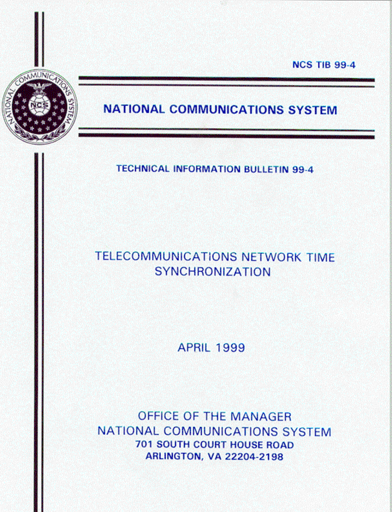**NCS TIB 99-4** 



# **NATIONAL COMMUNICATIONS SYSTEM**

**TECHNICAL INFORMATION BULLETIN 99-4** 

# TELECOMMUNICATIONS NETWORK TIME **SYNCHRONIZATION**

**APRIL 1999** 

OFFICE OF THE MANAGER NATIONAL COMMUNICATIONS SYSTEM **701 SOUTH COURT HOUSE ROAD ARLINGTON, VA 22204-2198**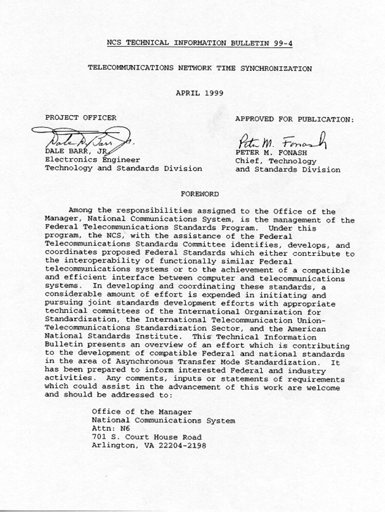#### NCS TECHNICAL INFORMATION BULLETIN 99-4

#### TELECOMMUNICATIONS NETWORK TIME SYNCHRONIZATION

**APRIL 1999** 

PROJECT OFFICER

DALE BARR, JR

Electronics Engineer Technology and Standards Division APPROVED FOR PUBLICATION:

PETER M. FONASH Chief, Technology and Standards Division

#### **FOREWORD**

Among the responsibilities assigned to the Office of the Manager, National Communications System, is the management of the Federal Telecommunications Standards Program. Under this program, the NCS, with the assistance of the Federal Telecommunications Standards Committee identifies, develops, and coordinates proposed Federal Standards which either contribute to the interoperability of functionally similar Federal telecommunications systems or to the achievement of a compatible and efficient interface between computer and telecommunications systems. In developing and coordinating these standards, a considerable amount of effort is expended in initiating and pursuing joint standards development efforts with appropriate technical committees of the International Organization for Standardization, the International Telecommunication Union-Telecommunications Standardization Sector, and the American National Standards Institute. This Technical Information Bulletin presents an overview of an effort which is contributing to the development of compatible Federal and national standards in the area of Asynchronous Transfer Mode Standardization. It. has been prepared to inform interested Federal and industry activities. Any comments, inputs or statements of requirements which could assist in the advancement of this work are welcome and should be addressed to:

> Office of the Manager National Communications System Attn: N6 701 S. Court House Road Arlington, VA 22204-2198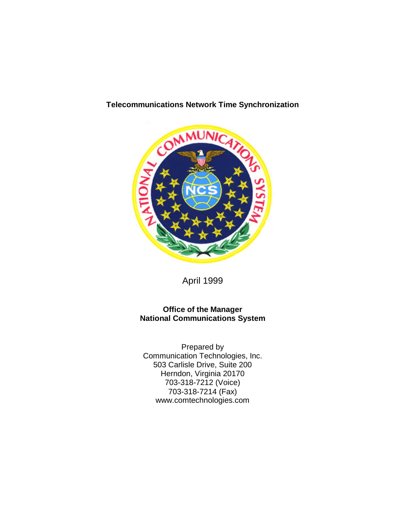

# **Telecommunications Network Time Synchronization**

April 1999

#### **Office of the Manager National Communications System**

Prepared by Communication Technologies, Inc. 503 Carlisle Drive, Suite 200 Herndon, Virginia 20170 703-318-7212 (Voice) 703-318-7214 (Fax) www.comtechnologies.com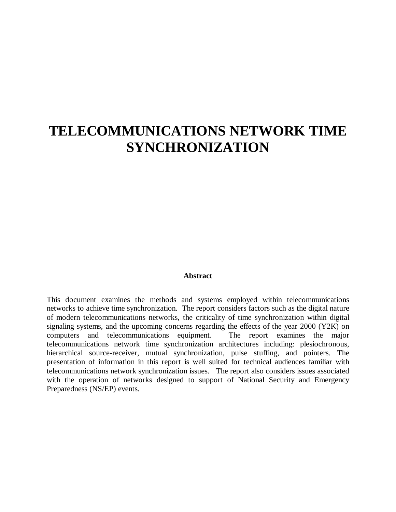# **TELECOMMUNICATIONS NETWORK TIME SYNCHRONIZATION**

#### **Abstract**

This document examines the methods and systems employed within telecommunications networks to achieve time synchronization. The report considers factors such as the digital nature of modern telecommunications networks, the criticality of time synchronization within digital signaling systems, and the upcoming concerns regarding the effects of the year 2000 (Y2K) on computers and telecommunications equipment. The report examines the major telecommunications network time synchronization architectures including: plesiochronous, hierarchical source-receiver, mutual synchronization, pulse stuffing, and pointers. The presentation of information in this report is well suited for technical audiences familiar with telecommunications network synchronization issues. The report also considers issues associated with the operation of networks designed to support of National Security and Emergency Preparedness (NS/EP) events.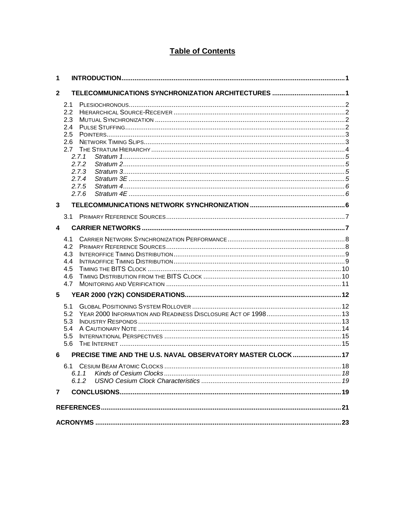# **Table of Contents**

| 1              |            |                                                             |  |
|----------------|------------|-------------------------------------------------------------|--|
| $\mathbf{2}$   |            |                                                             |  |
|                | 2.1        |                                                             |  |
|                | 2.2        |                                                             |  |
|                | 2.3        |                                                             |  |
|                | 2.4        |                                                             |  |
|                | 2.5        |                                                             |  |
|                | 2.6<br>2.7 |                                                             |  |
|                | 2.7.1      |                                                             |  |
|                | 2.7.2      |                                                             |  |
|                | 2.7.3      |                                                             |  |
|                |            | 2.7.4                                                       |  |
|                |            | 2.7.5                                                       |  |
|                |            | 2.76                                                        |  |
| 3              |            |                                                             |  |
|                |            |                                                             |  |
| 4              |            |                                                             |  |
|                | 4.1        |                                                             |  |
|                | 4.2        |                                                             |  |
|                | 4.3        |                                                             |  |
|                | 4.4        |                                                             |  |
|                | 4.5<br>4.6 |                                                             |  |
|                | 4.7        |                                                             |  |
| 5              |            |                                                             |  |
|                |            |                                                             |  |
|                | 5.1        |                                                             |  |
|                | 5.2<br>5.3 |                                                             |  |
|                | 5.4        |                                                             |  |
|                | 5.5        |                                                             |  |
|                | 5.6        |                                                             |  |
| 6              |            | PRECISE TIME AND THE U.S. NAVAL OBSERVATORY MASTER CLOCK 17 |  |
|                |            |                                                             |  |
|                |            | 6.1.1                                                       |  |
|                |            | 6.1.2                                                       |  |
| $\overline{7}$ |            |                                                             |  |
|                |            |                                                             |  |
|                |            |                                                             |  |
|                |            |                                                             |  |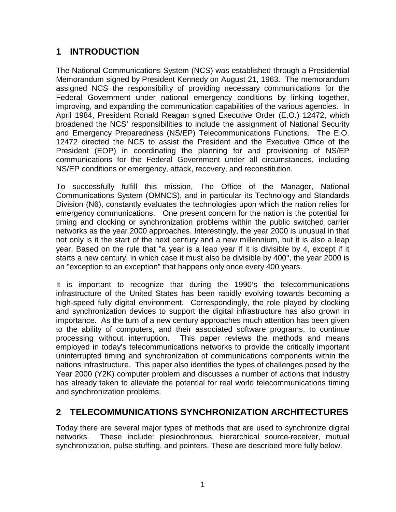# **1 INTRODUCTION**

The National Communications System (NCS) was established through a Presidential Memorandum signed by President Kennedy on August 21, 1963. The memorandum assigned NCS the responsibility of providing necessary communications for the Federal Government under national emergency conditions by linking together, improving, and expanding the communication capabilities of the various agencies. In April 1984, President Ronald Reagan signed Executive Order (E.O.) 12472, which broadened the NCS' responsibilities to include the assignment of National Security and Emergency Preparedness (NS/EP) Telecommunications Functions. The E.O. 12472 directed the NCS to assist the President and the Executive Office of the President (EOP) in coordinating the planning for and provisioning of NS/EP communications for the Federal Government under all circumstances, including NS/EP conditions or emergency, attack, recovery, and reconstitution.

To successfully fulfill this mission, The Office of the Manager, National Communications System (OMNCS), and in particular its Technology and Standards Division (N6), constantly evaluates the technologies upon which the nation relies for emergency communications. One present concern for the nation is the potential for timing and clocking or synchronization problems within the public switched carrier networks as the year 2000 approaches. Interestingly, the year 2000 is unusual in that not only is it the start of the next century and a new millennium, but it is also a leap year. Based on the rule that "a year is a leap year if it is divisible by 4, except if it starts a new century, in which case it must also be divisible by 400", the year 2000 is an "exception to an exception" that happens only once every 400 years.

It is important to recognize that during the 1990's the telecommunications infrastructure of the United States has been rapidly evolving towards becoming a high-speed fully digital environment. Correspondingly, the role played by clocking and synchronization devices to support the digital infrastructure has also grown in importance. As the turn of a new century approaches much attention has been given to the ability of computers, and their associated software programs, to continue processing without interruption. This paper reviews the methods and means employed in today's telecommunications networks to provide the critically important uninterrupted timing and synchronization of communications components within the nations infrastructure. This paper also identifies the types of challenges posed by the Year 2000 (Y2K) computer problem and discusses a number of actions that industry has already taken to alleviate the potential for real world telecommunications timing and synchronization problems.

# **2 TELECOMMUNICATIONS SYNCHRONIZATION ARCHITECTURES**

Today there are several major types of methods that are used to synchronize digital networks. These include: plesiochronous, hierarchical source-receiver, mutual synchronization, pulse stuffing, and pointers. These are described more fully below.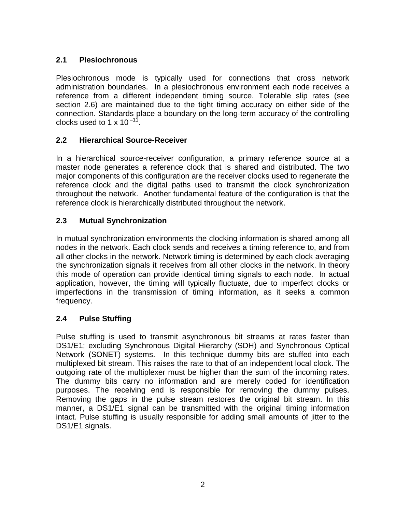# **2.1 Plesiochronous**

Plesiochronous mode is typically used for connections that cross network administration boundaries. In a plesiochronous environment each node receives a reference from a different independent timing source. Tolerable slip rates (see section 2.6) are maintained due to the tight timing accuracy on either side of the connection. Standards place a boundary on the long-term accuracy of the controlling clocks used to 1  $\times$  10<sup>-11</sup> .

# **2.2 Hierarchical Source-Receiver**

In a hierarchical source-receiver configuration, a primary reference source at a master node generates a reference clock that is shared and distributed. The two major components of this configuration are the receiver clocks used to regenerate the reference clock and the digital paths used to transmit the clock synchronization throughout the network. Another fundamental feature of the configuration is that the reference clock is hierarchically distributed throughout the network.

# **2.3 Mutual Synchronization**

In mutual synchronization environments the clocking information is shared among all nodes in the network. Each clock sends and receives a timing reference to, and from all other clocks in the network. Network timing is determined by each clock averaging the synchronization signals it receives from all other clocks in the network. In theory this mode of operation can provide identical timing signals to each node. In actual application, however, the timing will typically fluctuate, due to imperfect clocks or imperfections in the transmission of timing information, as it seeks a common frequency.

# **2.4 Pulse Stuffing**

Pulse stuffing is used to transmit asynchronous bit streams at rates faster than DS1/E1; excluding Synchronous Digital Hierarchy (SDH) and Synchronous Optical Network (SONET) systems. In this technique dummy bits are stuffed into each multiplexed bit stream. This raises the rate to that of an independent local clock. The outgoing rate of the multiplexer must be higher than the sum of the incoming rates. The dummy bits carry no information and are merely coded for identification purposes. The receiving end is responsible for removing the dummy pulses. Removing the gaps in the pulse stream restores the original bit stream. In this manner, a DS1/E1 signal can be transmitted with the original timing information intact. Pulse stuffing is usually responsible for adding small amounts of jitter to the DS1/E1 signals.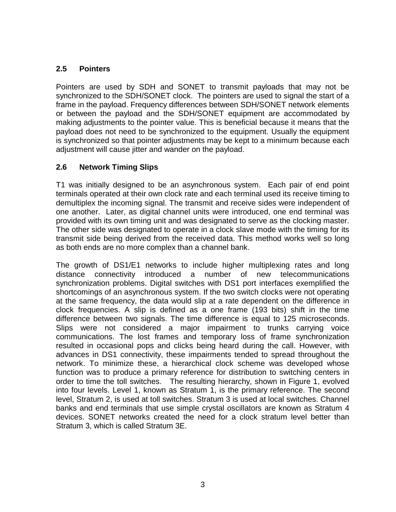## **2.5 Pointers**

Pointers are used by SDH and SONET to transmit payloads that may not be synchronized to the SDH/SONET clock. The pointers are used to signal the start of a frame in the payload. Frequency differences between SDH/SONET network elements or between the payload and the SDH/SONET equipment are accommodated by making adjustments to the pointer value. This is beneficial because it means that the payload does not need to be synchronized to the equipment. Usually the equipment is synchronized so that pointer adjustments may be kept to a minimum because each adjustment will cause jitter and wander on the payload.

# **2.6 Network Timing Slips**

T1 was initially designed to be an asynchronous system. Each pair of end point terminals operated at their own clock rate and each terminal used its receive timing to demultiplex the incoming signal. The transmit and receive sides were independent of one another. Later, as digital channel units were introduced, one end terminal was provided with its own timing unit and was designated to serve as the clocking master. The other side was designated to operate in a clock slave mode with the timing for its transmit side being derived from the received data. This method works well so long as both ends are no more complex than a channel bank.

The growth of DS1/E1 networks to include higher multiplexing rates and long distance connectivity introduced a number of new telecommunications synchronization problems. Digital switches with DS1 port interfaces exemplified the shortcomings of an asynchronous system. If the two switch clocks were not operating at the same frequency, the data would slip at a rate dependent on the difference in clock frequencies. A slip is defined as a one frame (193 bits) shift in the time difference between two signals. The time difference is equal to 125 microseconds. Slips were not considered a major impairment to trunks carrying voice communications. The lost frames and temporary loss of frame synchronization resulted in occasional pops and clicks being heard during the call. However, with advances in DS1 connectivity, these impairments tended to spread throughout the network. To minimize these, a hierarchical clock scheme was developed whose function was to produce a primary reference for distribution to switching centers in order to time the toll switches. The resulting hierarchy, shown in Figure 1, evolved into four levels. Level 1, known as Stratum 1, is the primary reference. The second level, Stratum 2, is used at toll switches. Stratum 3 is used at local switches. Channel banks and end terminals that use simple crystal oscillators are known as Stratum 4 devices. SONET networks created the need for a clock stratum level better than Stratum 3, which is called Stratum 3E.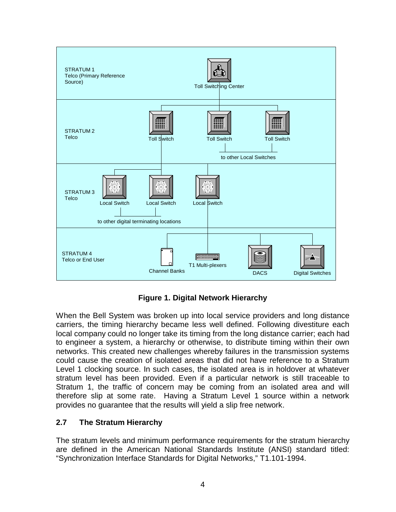

**Figure 1. Digital Network Hierarchy**

When the Bell System was broken up into local service providers and long distance carriers, the timing hierarchy became less well defined. Following divestiture each local company could no longer take its timing from the long distance carrier; each had to engineer a system, a hierarchy or otherwise, to distribute timing within their own networks. This created new challenges whereby failures in the transmission systems could cause the creation of isolated areas that did not have reference to a Stratum Level 1 clocking source. In such cases, the isolated area is in holdover at whatever stratum level has been provided. Even if a particular network is still traceable to Stratum 1, the traffic of concern may be coming from an isolated area and will therefore slip at some rate. Having a Stratum Level 1 source within a network provides no guarantee that the results will yield a slip free network.

## **2.7 The Stratum Hierarchy**

The stratum levels and minimum performance requirements for the stratum hierarchy are defined in the American National Standards Institute (ANSI) standard titled: "Synchronization Interface Standards for Digital Networks," T1.101-1994.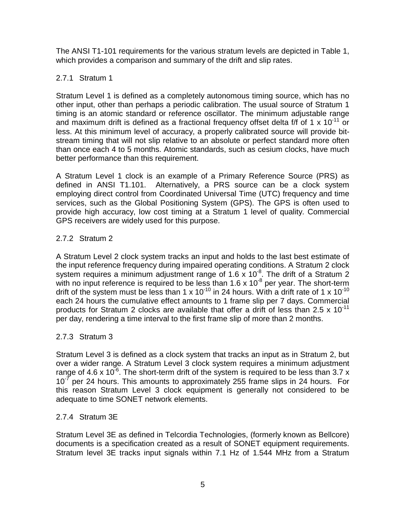The ANSI T1-101 requirements for the various stratum levels are depicted in Table 1, which provides a comparison and summary of the drift and slip rates.

## 2.7.1 Stratum 1

Stratum Level 1 is defined as a completely autonomous timing source, which has no other input, other than perhaps a periodic calibration. The usual source of Stratum 1 timing is an atomic standard or reference oscillator. The minimum adjustable range and maximum drift is defined as a fractional frequency offset delta f/f of 1  $\times$  10<sup>-11</sup> or less. At this minimum level of accuracy, a properly calibrated source will provide bitstream timing that will not slip relative to an absolute or perfect standard more often than once each 4 to 5 months. Atomic standards, such as cesium clocks, have much better performance than this requirement.

A Stratum Level 1 clock is an example of a Primary Reference Source (PRS) as defined in ANSI T1.101. Alternatively, a PRS source can be a clock system employing direct control from Coordinated Universal Time (UTC) frequency and time services, such as the Global Positioning System (GPS). The GPS is often used to provide high accuracy, low cost timing at a Stratum 1 level of quality. Commercial GPS receivers are widely used for this purpose.

# 2.7.2 Stratum 2

A Stratum Level 2 clock system tracks an input and holds to the last best estimate of the input reference frequency during impaired operating conditions. A Stratum 2 clock system requires a minimum adjustment range of 1.6 x  $10^{-8}$ . The drift of a Stratum 2 with no input reference is required to be less than  $1.6 \times 10^{-8}$  per year. The short-term drift of the system must be less than 1 x 10<sup>-10</sup> in 24 hours. With a drift rate of 1 x 10<sup>-10</sup> each 24 hours the cumulative effect amounts to 1 frame slip per 7 days. Commercial products for Stratum 2 clocks are available that offer a drift of less than  $2.5 \times 10^{-11}$ per day, rendering a time interval to the first frame slip of more than 2 months.

## 2.7.3 Stratum 3

Stratum Level 3 is defined as a clock system that tracks an input as in Stratum 2, but over a wider range. A Stratum Level 3 clock system requires a minimum adjustment range of 4.6 x 10 $\degree$ . The short-term drift of the system is required to be less than 3.7 x  $10^{-7}$  per 24 hours. This amounts to approximately 255 frame slips in 24 hours. For this reason Stratum Level 3 clock equipment is generally not considered to be adequate to time SONET network elements.

## 2.7.4 Stratum 3E

Stratum Level 3E as defined in Telcordia Technologies, (formerly known as Bellcore) documents is a specification created as a result of SONET equipment requirements. Stratum level 3E tracks input signals within 7.1 Hz of 1.544 MHz from a Stratum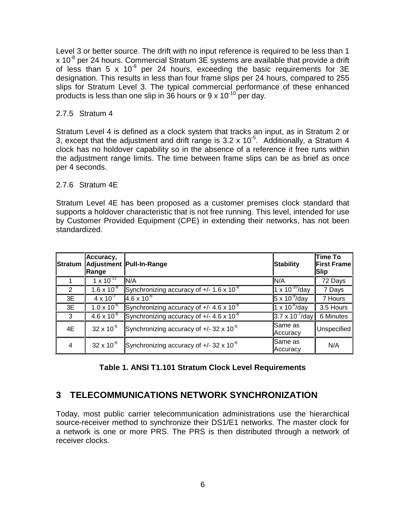Level 3 or better source. The drift with no input reference is required to be less than 1  $x$  10<sup>-8</sup> per 24 hours. Commercial Stratum 3E systems are available that provide a drift of less than 5 x  $10^{-9}$  per 24 hours, exceeding the basic requirements for 3E designation. This results in less than four frame slips per 24 hours, compared to 255 slips for Stratum Level 3. The typical commercial performance of these enhanced products is less than one slip in 36 hours or 9 x 10 $10^{10}$  per day.

#### 2.7.5 Stratum 4

Stratum Level 4 is defined as a clock system that tracks an input, as in Stratum 2 or 3, except that the adjustment and drift range is  $3.2 \times 10^{-5}$ . Additionally, a Stratum 4 clock has no holdover capability so in the absence of a reference it free runs within the adjustment range limits. The time between frame slips can be as brief as once per 4 seconds.

#### 2.7.6 Stratum 4E

Stratum Level 4E has been proposed as a customer premises clock standard that supports a holdover characteristic that is not free running. This level, intended for use by Customer Provided Equipment (CPE) in extending their networks, has not been standardized.

| Stratum        | Accuracy,<br>Range   | Adjustment Pull-In-Range                           | <b>Stability</b>          | Time To<br><b>First Frame</b><br> Slip |
|----------------|----------------------|----------------------------------------------------|---------------------------|----------------------------------------|
|                | $1 \times 10^{-11}$  | IN/A                                               | N/A                       | 72 Days                                |
| $\overline{2}$ | $1.6 \times 10^{-8}$ | Synchronizing accuracy of $+/- 1.6 \times 10^{-8}$ | $1 \times 10^{-10}$ /day  | 7 Days                                 |
| 3E             | $4 \times 10^{-7}$   | $4.6 \times 10^{-6}$                               | $5 \times 10^{-9}$ /day   | 7 Hours                                |
| 3E             | $1.0 \times 10^{-6}$ | Synchronizing accuracy of $+/- 4.6 \times 10^{-6}$ | $1 \times 10^{-8}$ /day   | 3.5 Hours                              |
| 3              | $4.6 \times 10^{-6}$ | Synchronizing accuracy of $+/- 4.6 \times 10^{-6}$ | $3.7 \times 10^{-7}$ /day | 6 Minutes                              |
| 4E             | $32 \times 10^{-6}$  | Synchronizing accuracy of $+/- 32 \times 10^{-6}$  | Same as<br>Accuracy       | Unspecified                            |
| 4              | $32 \times 10^{-6}$  | Synchronizing accuracy of $+/- 32 \times 10^{-6}$  | Same as<br>Accuracy       | N/A                                    |

# **Table 1. ANSI T1.101 Stratum Clock Level Requirements**

# **3 TELECOMMUNICATIONS NETWORK SYNCHRONIZATION**

Today, most public carrier telecommunication administrations use the hierarchical source-receiver method to synchronize their DS1/E1 networks. The master clock for a network is one or more PRS. The PRS is then distributed through a network of receiver clocks.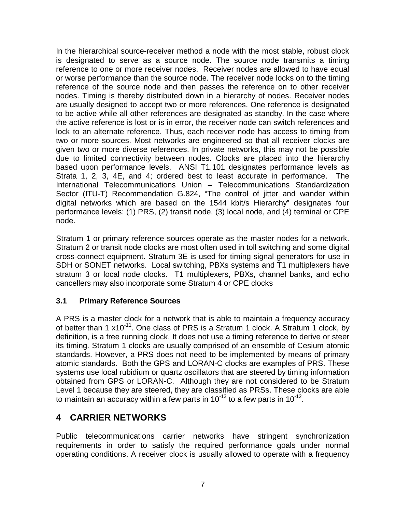In the hierarchical source-receiver method a node with the most stable, robust clock is designated to serve as a source node. The source node transmits a timing reference to one or more receiver nodes. Receiver nodes are allowed to have equal or worse performance than the source node. The receiver node locks on to the timing reference of the source node and then passes the reference on to other receiver nodes. Timing is thereby distributed down in a hierarchy of nodes. Receiver nodes are usually designed to accept two or more references. One reference is designated to be active while all other references are designated as standby. In the case where the active reference is lost or is in error, the receiver node can switch references and lock to an alternate reference. Thus, each receiver node has access to timing from two or more sources. Most networks are engineered so that all receiver clocks are given two or more diverse references. In private networks, this may not be possible due to limited connectivity between nodes. Clocks are placed into the hierarchy based upon performance levels. ANSI T1.101 designates performance levels as Strata 1, 2, 3, 4E, and 4; ordered best to least accurate in performance. The International Telecommunications Union – Telecommunications Standardization Sector (ITU-T) Recommendation G.824, "The control of jitter and wander within digital networks which are based on the 1544 kbit/s Hierarchy" designates four performance levels: (1) PRS, (2) transit node, (3) local node, and (4) terminal or CPE node.

Stratum 1 or primary reference sources operate as the master nodes for a network. Stratum 2 or transit node clocks are most often used in toll switching and some digital cross-connect equipment. Stratum 3E is used for timing signal generators for use in SDH or SONET networks. Local switching, PBXs systems and T1 multiplexers have stratum 3 or local node clocks. T1 multiplexers, PBXs, channel banks, and echo cancellers may also incorporate some Stratum 4 or CPE clocks

## **3.1 Primary Reference Sources**

A PRS is a master clock for a network that is able to maintain a frequency accuracy of better than 1 x10<sup>-11</sup>. One class of PRS is a Stratum 1 clock. A Stratum 1 clock, by definition, is a free running clock. It does not use a timing reference to derive or steer its timing. Stratum 1 clocks are usually comprised of an ensemble of Cesium atomic standards. However, a PRS does not need to be implemented by means of primary atomic standards. Both the GPS and LORAN-C clocks are examples of PRS. These systems use local rubidium or quartz oscillators that are steered by timing information obtained from GPS or LORAN-C. Although they are not considered to be Stratum Level 1 because they are steered, they are classified as PRSs. These clocks are able to maintain an accuracy within a few parts in 10<sup>-13</sup> to a few parts in 10<sup>-12</sup>.

# **4 CARRIER NETWORKS**

Public telecommunications carrier networks have stringent synchronization requirements in order to satisfy the required performance goals under normal operating conditions. A receiver clock is usually allowed to operate with a frequency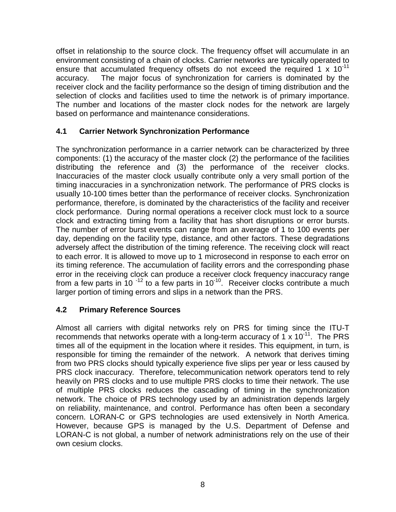offset in relationship to the source clock. The frequency offset will accumulate in an environment consisting of a chain of clocks. Carrier networks are typically operated to ensure that accumulated frequency offsets do not exceed the required 1 x 10<sup>-11</sup> accuracy. The major focus of synchronization for carriers is dominated by the receiver clock and the facility performance so the design of timing distribution and the selection of clocks and facilities used to time the network is of primary importance. The number and locations of the master clock nodes for the network are largely based on performance and maintenance considerations.

#### **4.1 Carrier Network Synchronization Performance**

The synchronization performance in a carrier network can be characterized by three components: (1) the accuracy of the master clock (2) the performance of the facilities distributing the reference and (3) the performance of the receiver clocks. Inaccuracies of the master clock usually contribute only a very small portion of the timing inaccuracies in a synchronization network. The performance of PRS clocks is usually 10-100 times better than the performance of receiver clocks. Synchronization performance, therefore, is dominated by the characteristics of the facility and receiver clock performance. During normal operations a receiver clock must lock to a source clock and extracting timing from a facility that has short disruptions or error bursts. The number of error burst events can range from an average of 1 to 100 events per day, depending on the facility type, distance, and other factors. These degradations adversely affect the distribution of the timing reference. The receiving clock will react to each error. It is allowed to move up to 1 microsecond in response to each error on its timing reference. The accumulation of facility errors and the corresponding phase error in the receiving clock can produce a receiver clock frequency inaccuracy range from a few parts in  $10^{-12}$  to a few parts in  $10^{-10}$ . Receiver clocks contribute a much larger portion of timing errors and slips in a network than the PRS.

## **4.2 Primary Reference Sources**

Almost all carriers with digital networks rely on PRS for timing since the ITU-T recommends that networks operate with a long-term accuracy of  $1 \times 10^{-11}$ . The PRS times all of the equipment in the location where it resides. This equipment, in turn, is responsible for timing the remainder of the network. A network that derives timing from two PRS clocks should typically experience five slips per year or less caused by PRS clock inaccuracy. Therefore, telecommunication network operators tend to rely heavily on PRS clocks and to use multiple PRS clocks to time their network. The use of multiple PRS clocks reduces the cascading of timing in the synchronization network. The choice of PRS technology used by an administration depends largely on reliability, maintenance, and control. Performance has often been a secondary concern. LORAN-C or GPS technologies are used extensively in North America. However, because GPS is managed by the U.S. Department of Defense and LORAN-C is not global, a number of network administrations rely on the use of their own cesium clocks.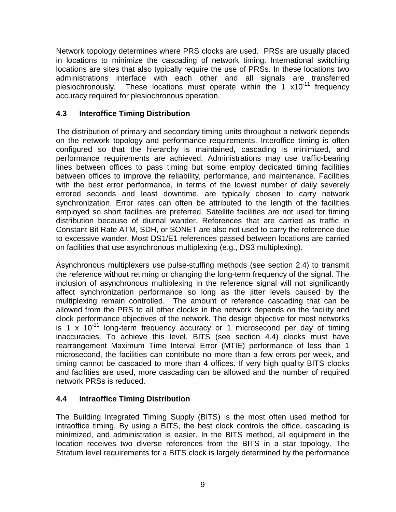Network topology determines where PRS clocks are used. PRSs are usually placed in locations to minimize the cascading of network timing. International switching locations are sites that also typically require the use of PRSs. In these locations two administrations interface with each other and all signals are transferred plesiochronously. These locations must operate within the 1 x10<sup>-11</sup> frequency accuracy required for plesiochronous operation.

# **4.3 Interoffice Timing Distribution**

The distribution of primary and secondary timing units throughout a network depends on the network topology and performance requirements. Interoffice timing is often configured so that the hierarchy is maintained, cascading is minimized, and performance requirements are achieved. Administrations may use traffic-bearing lines between offices to pass timing but some employ dedicated timing facilities between offices to improve the reliability, performance, and maintenance. Facilities with the best error performance, in terms of the lowest number of daily severely errored seconds and least downtime, are typically chosen to carry network synchronization. Error rates can often be attributed to the length of the facilities employed so short facilities are preferred. Satellite facilities are not used for timing distribution because of diurnal wander. References that are carried as traffic in Constant Bit Rate ATM, SDH, or SONET are also not used to carry the reference due to excessive wander. Most DS1/E1 references passed between locations are carried on facilities that use asynchronous multiplexing (e.g., DS3 multiplexing).

Asynchronous multiplexers use pulse-stuffing methods (see section 2.4) to transmit the reference without retiming or changing the long-term frequency of the signal. The inclusion of asynchronous multiplexing in the reference signal will not significantly affect synchronization performance so long as the jitter levels caused by the multiplexing remain controlled. The amount of reference cascading that can be allowed from the PRS to all other clocks in the network depends on the facility and clock performance objectives of the network. The design objective for most networks is 1 x  $10^{-11}$  long-term frequency accuracy or 1 microsecond per day of timing inaccuracies. To achieve this level, BITS (see section 4.4) clocks must have rearrangement Maximum Time Interval Error (MTIE) performance of less than 1 microsecond, the facilities can contribute no more than a few errors per week, and timing cannot be cascaded to more than 4 offices. If very high quality BITS clocks and facilities are used, more cascading can be allowed and the number of required network PRSs is reduced.

# **4.4 Intraoffice Timing Distribution**

The Building Integrated Timing Supply (BITS) is the most often used method for intraoffice timing. By using a BITS, the best clock controls the office, cascading is minimized, and administration is easier. In the BITS method, all equipment in the location receives two diverse references from the BITS in a star topology. The Stratum level requirements for a BITS clock is largely determined by the performance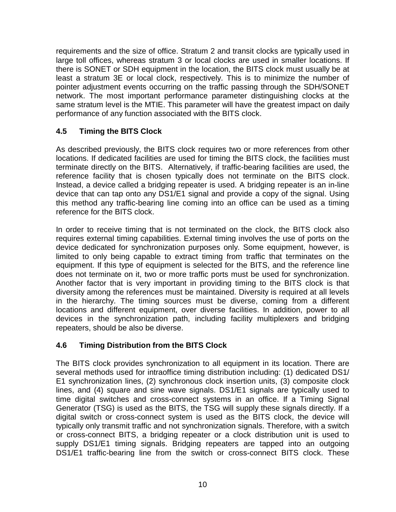requirements and the size of office. Stratum 2 and transit clocks are typically used in large toll offices, whereas stratum 3 or local clocks are used in smaller locations. If there is SONET or SDH equipment in the location, the BITS clock must usually be at least a stratum 3E or local clock, respectively. This is to minimize the number of pointer adjustment events occurring on the traffic passing through the SDH/SONET network. The most important performance parameter distinguishing clocks at the same stratum level is the MTIE. This parameter will have the greatest impact on daily performance of any function associated with the BITS clock.

# **4.5 Timing the BITS Clock**

As described previously, the BITS clock requires two or more references from other locations. If dedicated facilities are used for timing the BITS clock, the facilities must terminate directly on the BITS. Alternatively, if traffic-bearing facilities are used, the reference facility that is chosen typically does not terminate on the BITS clock. Instead, a device called a bridging repeater is used. A bridging repeater is an in-line device that can tap onto any DS1/E1 signal and provide a copy of the signal. Using this method any traffic-bearing line coming into an office can be used as a timing reference for the BITS clock.

In order to receive timing that is not terminated on the clock, the BITS clock also requires external timing capabilities. External timing involves the use of ports on the device dedicated for synchronization purposes only. Some equipment, however, is limited to only being capable to extract timing from traffic that terminates on the equipment. If this type of equipment is selected for the BITS, and the reference line does not terminate on it, two or more traffic ports must be used for synchronization. Another factor that is very important in providing timing to the BITS clock is that diversity among the references must be maintained. Diversity is required at all levels in the hierarchy. The timing sources must be diverse, coming from a different locations and different equipment, over diverse facilities. In addition, power to all devices in the synchronization path, including facility multiplexers and bridging repeaters, should be also be diverse.

## **4.6 Timing Distribution from the BITS Clock**

The BITS clock provides synchronization to all equipment in its location. There are several methods used for intraoffice timing distribution including: (1) dedicated DS1/ E1 synchronization lines, (2) synchronous clock insertion units, (3) composite clock lines, and (4) square and sine wave signals. DS1/E1 signals are typically used to time digital switches and cross-connect systems in an office. If a Timing Signal Generator (TSG) is used as the BITS, the TSG will supply these signals directly. If a digital switch or cross-connect system is used as the BITS clock, the device will typically only transmit traffic and not synchronization signals. Therefore, with a switch or cross-connect BITS, a bridging repeater or a clock distribution unit is used to supply DS1/E1 timing signals. Bridging repeaters are tapped into an outgoing DS1/E1 traffic-bearing line from the switch or cross-connect BITS clock. These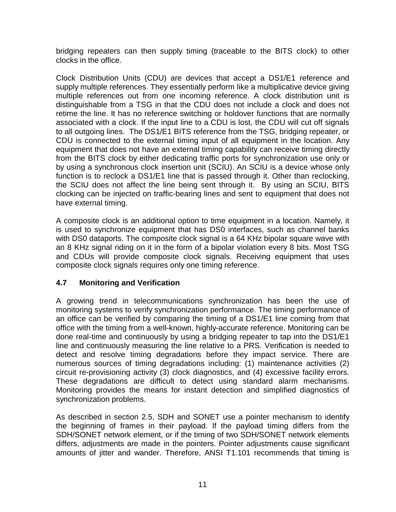bridging repeaters can then supply timing (traceable to the BITS clock) to other clocks in the office.

Clock Distribution Units (CDU) are devices that accept a DS1/E1 reference and supply multiple references. They essentially perform like a multiplicative device giving multiple references out from one incoming reference. A clock distribution unit is distinguishable from a TSG in that the CDU does not include a clock and does not retime the line. It has no reference switching or holdover functions that are normally associated with a clock. If the input line to a CDU is lost, the CDU will cut off signals to all outgoing lines. The DS1/E1 BITS reference from the TSG, bridging repeater, or CDU is connected to the external timing input of all equipment in the location. Any equipment that does not have an external timing capability can receive timing directly from the BITS clock by either dedicating traffic ports for synchronization use only or by using a synchronous clock insertion unit (SCIU). An SCIU is a device whose only function is to reclock a DS1/E1 line that is passed through it. Other than reclocking, the SCIU does not affect the line being sent through it. By using an SCIU, BITS clocking can be injected on traffic-bearing lines and sent to equipment that does not have external timing.

A composite clock is an additional option to time equipment in a location. Namely, it is used to synchronize equipment that has DS0 interfaces, such as channel banks with DS0 dataports. The composite clock signal is a 64 KHz bipolar square wave with an 8 KHz signal riding on it in the form of a bipolar violation every 8 bits. Most TSG and CDUs will provide composite clock signals. Receiving equipment that uses composite clock signals requires only one timing reference.

## **4.7 Monitoring and Verification**

A growing trend in telecommunications synchronization has been the use of monitoring systems to verify synchronization performance. The timing performance of an office can be verified by comparing the timing of a DS1/E1 line coming from that office with the timing from a well-known, highly-accurate reference. Monitoring can be done real-time and continuously by using a bridging repeater to tap into the DS1/E1 line and continuously measuring the line relative to a PRS. Verification is needed to detect and resolve timing degradations before they impact service. There are numerous sources of timing degradations including: (1) maintenance activities (2) circuit re-provisioning activity (3) clock diagnostics, and (4) excessive facility errors. These degradations are difficult to detect using standard alarm mechanisms. Monitoring provides the means for instant detection and simplified diagnostics of synchronization problems.

As described in section 2.5, SDH and SONET use a pointer mechanism to identify the beginning of frames in their payload. If the payload timing differs from the SDH/SONET network element, or if the timing of two SDH/SONET network elements differs, adjustments are made in the pointers. Pointer adjustments cause significant amounts of jitter and wander. Therefore, ANSI T1.101 recommends that timing is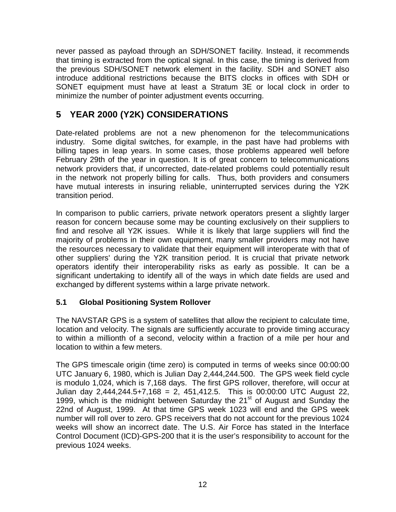never passed as payload through an SDH/SONET facility. Instead, it recommends that timing is extracted from the optical signal. In this case, the timing is derived from the previous SDH/SONET network element in the facility. SDH and SONET also introduce additional restrictions because the BITS clocks in offices with SDH or SONET equipment must have at least a Stratum 3E or local clock in order to minimize the number of pointer adjustment events occurring.

# **5 YEAR 2000 (Y2K) CONSIDERATIONS**

Date-related problems are not a new phenomenon for the telecommunications industry. Some digital switches, for example, in the past have had problems with billing tapes in leap years. In some cases, those problems appeared well before February 29th of the year in question. It is of great concern to telecommunications network providers that, if uncorrected, date-related problems could potentially result in the network not properly billing for calls. Thus, both providers and consumers have mutual interests in insuring reliable, uninterrupted services during the Y2K transition period.

In comparison to public carriers, private network operators present a slightly larger reason for concern because some may be counting exclusively on their suppliers to find and resolve all Y2K issues. While it is likely that large suppliers will find the majority of problems in their own equipment, many smaller providers may not have the resources necessary to validate that their equipment will interoperate with that of other suppliers' during the Y2K transition period. It is crucial that private network operators identify their interoperability risks as early as possible. It can be a significant undertaking to identify all of the ways in which date fields are used and exchanged by different systems within a large private network.

## **5.1 Global Positioning System Rollover**

The NAVSTAR GPS is a system of satellites that allow the recipient to calculate time, location and velocity. The signals are sufficiently accurate to provide timing accuracy to within a millionth of a second, velocity within a fraction of a mile per hour and location to within a few meters.

The GPS timescale origin (time zero) is computed in terms of weeks since 00:00:00 UTC January 6, 1980, which is Julian Day 2,444,244.500. The GPS week field cycle is modulo 1,024, which is 7,168 days. The first GPS rollover, therefore, will occur at Julian day 2,444,244.5+7,168 = 2, 451,412.5. This is 00:00:00 UTC August 22, 1999, which is the midnight between Saturday the 21<sup>st</sup> of August and Sunday the 22nd of August, 1999. At that time GPS week 1023 will end and the GPS week number will roll over to zero. GPS receivers that do not account for the previous 1024 weeks will show an incorrect date. The U.S. Air Force has stated in the Interface Control Document (ICD)-GPS-200 that it is the user's responsibility to account for the previous 1024 weeks.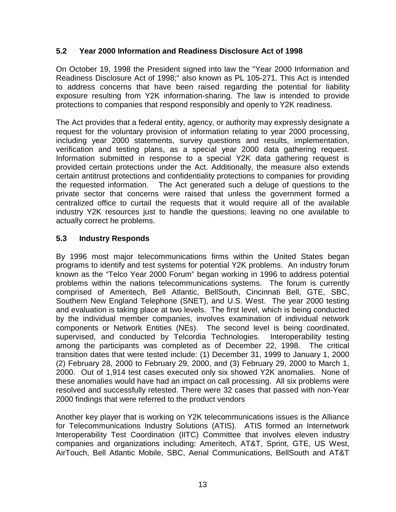#### **5.2 Year 2000 Information and Readiness Disclosure Act of 1998**

On October 19, 1998 the President signed into law the "Year 2000 Information and Readiness Disclosure Act of 1998;" also known as PL 105-271. This Act is intended to address concerns that have been raised regarding the potential for liability exposure resulting from Y2K information-sharing. The law is intended to provide protections to companies that respond responsibly and openly to Y2K readiness.

The Act provides that a federal entity, agency, or authority may expressly designate a request for the voluntary provision of information relating to year 2000 processing, including year 2000 statements, survey questions and results, implementation, verification and testing plans, as a special year 2000 data gathering request. Information submitted in response to a special Y2K data gathering request is provided certain protections under the Act. Additionally, the measure also extends certain antitrust protections and confidentiality protections to companies for providing the requested information. The Act generated such a deluge of questions to the private sector that concerns were raised that unless the government formed a centralized office to curtail the requests that it would require all of the available industry Y2K resources just to handle the questions; leaving no one available to actually correct he problems.

## **5.3 Industry Responds**

By 1996 most major telecommunications firms within the United States began programs to identify and test systems for potential Y2K problems. An industry forum known as the "Telco Year 2000 Forum" began working in 1996 to address potential problems within the nations telecommunications systems. The forum is currently comprised of Ameritech, Bell Atlantic, BellSouth, Cincinnati Bell, GTE, SBC, Southern New England Telephone (SNET), and U.S. West. The year 2000 testing and evaluation is taking place at two levels. The first level, which is being conducted by the individual member companies, involves examination of individual network components or Network Entities (NEs). The second level is being coordinated, supervised, and conducted by Telcordia Technologies. Interoperability testing among the participants was completed as of December 22, 1998. The critical transition dates that were tested include: (1) December 31, 1999 to January 1, 2000 (2) February 28, 2000 to February 29, 2000, and (3) February 29, 2000 to March 1, 2000. Out of 1,914 test cases executed only six showed Y2K anomalies. None of these anomalies would have had an impact on call processing. All six problems were resolved and successfully retested. There were 32 cases that passed with non-Year 2000 findings that were referred to the product vendors

Another key player that is working on Y2K telecommunications issues is the Alliance for Telecommunications Industry Solutions (ATIS). ATIS formed an Internetwork Interoperability Test Coordination (IITC) Committee that involves eleven industry companies and organizations including: Ameritech, AT&T, Sprint, GTE, US West, AirTouch, Bell Atlantic Mobile, SBC, Aerial Communications, BellSouth and AT&T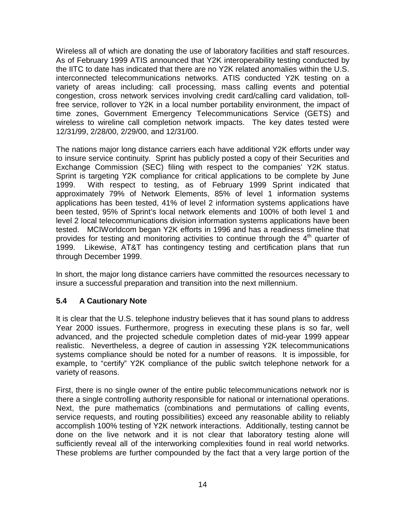Wireless all of which are donating the use of laboratory facilities and staff resources. As of February 1999 ATIS announced that Y2K interoperability testing conducted by the IITC to date has indicated that there are no Y2K related anomalies within the U.S. interconnected telecommunications networks. ATIS conducted Y2K testing on a variety of areas including: call processing, mass calling events and potential congestion, cross network services involving credit card/calling card validation, tollfree service, rollover to Y2K in a local number portability environment, the impact of time zones, Government Emergency Telecommunications Service (GETS) and wireless to wireline call completion network impacts. The key dates tested were 12/31/99, 2/28/00, 2/29/00, and 12/31/00.

The nations major long distance carriers each have additional Y2K efforts under way to insure service continuity. Sprint has publicly posted a copy of their Securities and Exchange Commission (SEC) filing with respect to the companies' Y2K status. Sprint is targeting Y2K compliance for critical applications to be complete by June 1999. With respect to testing, as of February 1999 Sprint indicated that approximately 79% of Network Elements, 85% of level 1 information systems applications has been tested, 41% of level 2 information systems applications have been tested, 95% of Sprint's local network elements and 100% of both level 1 and level 2 local telecommunications division information systems applications have been tested. MCIWorldcom began Y2K efforts in 1996 and has a readiness timeline that provides for testing and monitoring activities to continue through the  $4<sup>th</sup>$  quarter of 1999. Likewise, AT&T has contingency testing and certification plans that run through December 1999.

In short, the major long distance carriers have committed the resources necessary to insure a successful preparation and transition into the next millennium.

## **5.4 A Cautionary Note**

It is clear that the U.S. telephone industry believes that it has sound plans to address Year 2000 issues. Furthermore, progress in executing these plans is so far, well advanced, and the projected schedule completion dates of mid-year 1999 appear realistic. Nevertheless, a degree of caution in assessing Y2K telecommunications systems compliance should be noted for a number of reasons. It is impossible, for example, to "certify" Y2K compliance of the public switch telephone network for a variety of reasons.

First, there is no single owner of the entire public telecommunications network nor is there a single controlling authority responsible for national or international operations. Next, the pure mathematics (combinations and permutations of calling events, service requests, and routing possibilities) exceed any reasonable ability to reliably accomplish 100% testing of Y2K network interactions. Additionally, testing cannot be done on the live network and it is not clear that laboratory testing alone will sufficiently reveal all of the interworking complexities found in real world networks. These problems are further compounded by the fact that a very large portion of the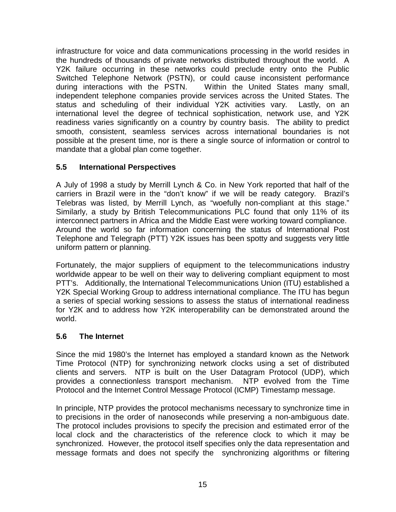infrastructure for voice and data communications processing in the world resides in the hundreds of thousands of private networks distributed throughout the world. A Y2K failure occurring in these networks could preclude entry onto the Public Switched Telephone Network (PSTN), or could cause inconsistent performance during interactions with the PSTN. Within the United States many small, independent telephone companies provide services across the United States. The status and scheduling of their individual Y2K activities vary. Lastly, on an international level the degree of technical sophistication, network use, and Y2K readiness varies significantly on a country by country basis. The ability to predict smooth, consistent, seamless services across international boundaries is not possible at the present time, nor is there a single source of information or control to mandate that a global plan come together.

# **5.5 International Perspectives**

A July of 1998 a study by Merrill Lynch & Co. in New York reported that half of the carriers in Brazil were in the "don't know" if we will be ready category. Brazil's Telebras was listed, by Merrill Lynch, as "woefully non-compliant at this stage." Similarly, a study by British Telecommunications PLC found that only 11% of its interconnect partners in Africa and the Middle East were working toward compliance. Around the world so far information concerning the status of International Post Telephone and Telegraph (PTT) Y2K issues has been spotty and suggests very little uniform pattern or planning.

Fortunately, the major suppliers of equipment to the telecommunications industry worldwide appear to be well on their way to delivering compliant equipment to most PTT's. Additionally, the International Telecommunications Union (ITU) established a Y2K Special Working Group to address international compliance. The ITU has begun a series of special working sessions to assess the status of international readiness for Y2K and to address how Y2K interoperability can be demonstrated around the world.

## **5.6 The Internet**

Since the mid 1980's the Internet has employed a standard known as the Network Time Protocol (NTP) for synchronizing network clocks using a set of distributed clients and servers. NTP is built on the User Datagram Protocol (UDP), which provides a connectionless transport mechanism. NTP evolved from the Time Protocol and the Internet Control Message Protocol (ICMP) Timestamp message.

In principle, NTP provides the protocol mechanisms necessary to synchronize time in to precisions in the order of nanoseconds while preserving a non-ambiguous date. The protocol includes provisions to specify the precision and estimated error of the local clock and the characteristics of the reference clock to which it may be synchronized. However, the protocol itself specifies only the data representation and message formats and does not specify the synchronizing algorithms or filtering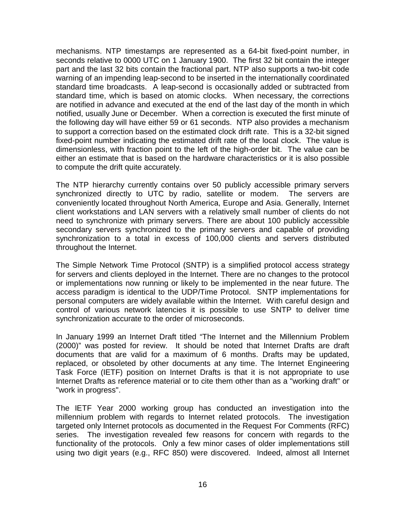mechanisms. NTP timestamps are represented as a 64-bit fixed-point number, in seconds relative to 0000 UTC on 1 January 1900. The first 32 bit contain the integer part and the last 32 bits contain the fractional part. NTP also supports a two-bit code warning of an impending leap-second to be inserted in the internationally coordinated standard time broadcasts. A leap-second is occasionally added or subtracted from standard time, which is based on atomic clocks. When necessary, the corrections are notified in advance and executed at the end of the last day of the month in which notified, usually June or December. When a correction is executed the first minute of the following day will have either 59 or 61 seconds. NTP also provides a mechanism to support a correction based on the estimated clock drift rate. This is a 32-bit signed fixed-point number indicating the estimated drift rate of the local clock. The value is dimensionless, with fraction point to the left of the high-order bit. The value can be either an estimate that is based on the hardware characteristics or it is also possible to compute the drift quite accurately.

The NTP hierarchy currently contains over 50 publicly accessible primary servers synchronized directly to UTC by radio, satellite or modem. The servers are conveniently located throughout North America, Europe and Asia. Generally, Internet client workstations and LAN servers with a relatively small number of clients do not need to synchronize with primary servers. There are about 100 publicly accessible secondary servers synchronized to the primary servers and capable of providing synchronization to a total in excess of 100,000 clients and servers distributed throughout the Internet.

The Simple Network Time Protocol (SNTP) is a simplified protocol access strategy for servers and clients deployed in the Internet. There are no changes to the protocol or implementations now running or likely to be implemented in the near future. The access paradigm is identical to the UDP/Time Protocol. SNTP implementations for personal computers are widely available within the Internet. With careful design and control of various network latencies it is possible to use SNTP to deliver time synchronization accurate to the order of microseconds.

In January 1999 an Internet Draft titled "The Internet and the Millennium Problem (2000)" was posted for review. It should be noted that Internet Drafts are draft documents that are valid for a maximum of 6 months. Drafts may be updated, replaced, or obsoleted by other documents at any time. The Internet Engineering Task Force (IETF) position on Internet Drafts is that it is not appropriate to use Internet Drafts as reference material or to cite them other than as a "working draft" or "work in progress".

The IETF Year 2000 working group has conducted an investigation into the millennium problem with regards to Internet related protocols. The investigation targeted only Internet protocols as documented in the Request For Comments (RFC) series. The investigation revealed few reasons for concern with regards to the functionality of the protocols. Only a few minor cases of older implementations still using two digit years (e.g., RFC 850) were discovered. Indeed, almost all Internet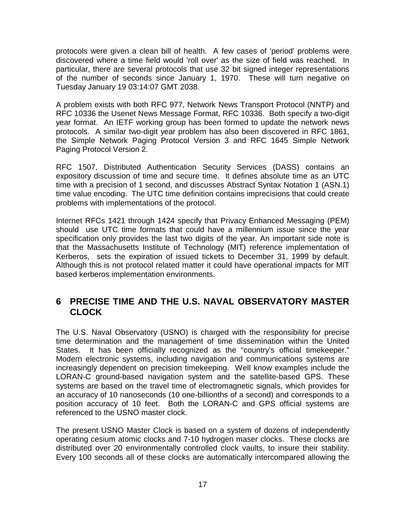protocols were given a clean bill of health. A few cases of 'period' problems were discovered where a time field would 'roll over' as the size of field was reached. In particular, there are several protocols that use 32 bit signed integer representations of the number of seconds since January 1, 1970. These will turn negative on Tuesday January 19 03:14:07 GMT 2038.

A problem exists with both RFC 977, Network News Transport Protocol (NNTP) and RFC 10336 the Usenet News Message Format, RFC 10336. Both specify a two-digit year format. An IETF working group has been formed to update the network news protocols. A similar two-digit year problem has also been discovered in RFC 1861, the Simple Network Paging Protocol Version 3 and RFC 1645 Simple Network Paging Protocol Version 2.

RFC 1507, Distributed Authentication Security Services (DASS) contains an expository discussion of time and secure time. It defines absolute time as an UTC time with a precision of 1 second, and discusses Abstract Syntax Notation 1 (ASN.1) time value encoding. The UTC time definition contains imprecisions that could create problems with implementations of the protocol.

Internet RFCs 1421 through 1424 specify that Privacy Enhanced Messaging (PEM) should use UTC time formats that could have a millennium issue since the year specification only provides the last two digits of the year. An important side note is that the Massachusetts Institute of Technology (MIT) reference implementation of Kerberos, sets the expiration of issued tickets to December 31, 1999 by default. Although this is not protocol related matter it could have operational impacts for MIT based kerberos implementation environments.

# **6 PRECISE TIME AND THE U.S. NAVAL OBSERVATORY MASTER CLOCK**

The U.S. Naval Observatory (USNO) is charged with the responsibility for precise time determination and the management of time dissemination within the United States. It has been officially recognized as the "country's official timekeeper." Modern electronic systems, including navigation and communications systems are increasingly dependent on precision timekeeping. Well know examples include the LORAN-C ground-based navigation system and the satellite-based GPS. These systems are based on the travel time of electromagnetic signals, which provides for an accuracy of 10 nanoseconds (10 one-billionths of a second) and corresponds to a position accuracy of 10 feet. Both the LORAN-C and GPS official systems are referenced to the USNO master clock.

The present USNO Master Clock is based on a system of dozens of independently operating cesium atomic clocks and 7-10 hydrogen maser clocks. These clocks are distributed over 20 environmentally controlled clock vaults, to insure their stability. Every 100 seconds all of these clocks are automatically intercompared allowing the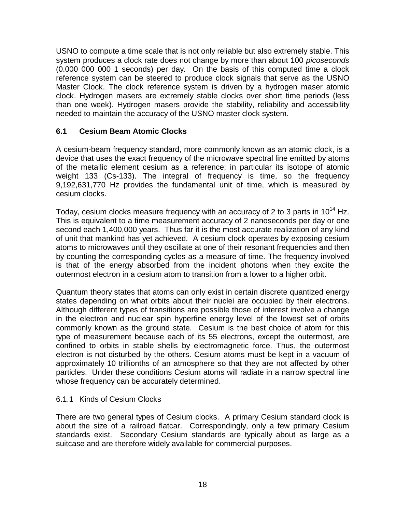USNO to compute a time scale that is not only reliable but also extremely stable. This system produces a clock rate does not change by more than about 100 *picoseconds* (0.000 000 000 1 seconds) per day. On the basis of this computed time a clock reference system can be steered to produce clock signals that serve as the USNO Master Clock. The clock reference system is driven by a hydrogen maser atomic clock. Hydrogen masers are extremely stable clocks over short time periods (less than one week). Hydrogen masers provide the stability, reliability and accessibility needed to maintain the accuracy of the USNO master clock system.

#### **6.1 Cesium Beam Atomic Clocks**

A cesium-beam frequency standard, more commonly known as an atomic clock, is a device that uses the exact frequency of the microwave spectral line emitted by atoms of the metallic element cesium as a reference; in particular its isotope of atomic weight 133 (Cs-133). The integral of frequency is time, so the frequency 9,192,631,770 Hz provides the fundamental unit of time, which is measured by cesium clocks.

Today, cesium clocks measure frequency with an accuracy of 2 to 3 parts in  $10^{14}$  Hz. This is equivalent to a time measurement accuracy of 2 nanoseconds per day or one second each 1,400,000 years. Thus far it is the most accurate realization of any kind of unit that mankind has yet achieved. A cesium clock operates by exposing cesium atoms to microwaves until they oscillate at one of their resonant frequencies and then by counting the corresponding cycles as a measure of time. The frequency involved is that of the energy absorbed from the incident photons when they excite the outermost electron in a cesium atom to transition from a lower to a higher orbit.

Quantum theory states that atoms can only exist in certain discrete quantized energy states depending on what orbits about their nuclei are occupied by their electrons. Although different types of transitions are possible those of interest involve a change in the electron and nuclear spin hyperfine energy level of the lowest set of orbits commonly known as the ground state. Cesium is the best choice of atom for this type of measurement because each of its 55 electrons, except the outermost, are confined to orbits in stable shells by electromagnetic force. Thus, the outermost electron is not disturbed by the others. Cesium atoms must be kept in a vacuum of approximately 10 trillionths of an atmosphere so that they are not affected by other particles. Under these conditions Cesium atoms will radiate in a narrow spectral line whose frequency can be accurately determined.

#### 6.1.1 Kinds of Cesium Clocks

There are two general types of Cesium clocks. A primary Cesium standard clock is about the size of a railroad flatcar. Correspondingly, only a few primary Cesium standards exist. Secondary Cesium standards are typically about as large as a suitcase and are therefore widely available for commercial purposes.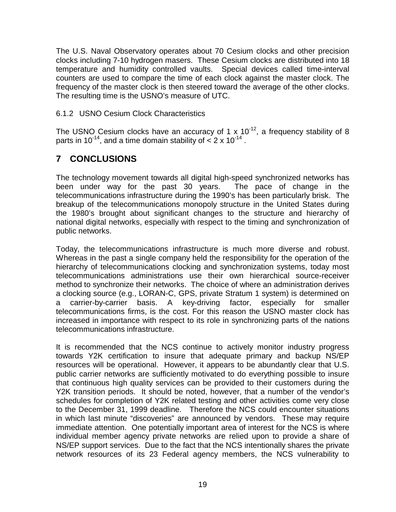The U.S. Naval Observatory operates about 70 Cesium clocks and other precision clocks including 7-10 hydrogen masers. These Cesium clocks are distributed into 18 temperature and humidity controlled vaults. Special devices called time-interval counters are used to compare the time of each clock against the master clock. The frequency of the master clock is then steered toward the average of the other clocks. The resulting time is the USNO's measure of UTC.

#### 6.1.2 USNO Cesium Clock Characteristics

The USNO Cesium clocks have an accuracy of 1 x  $10^{-12}$ , a frequency stability of 8 parts in 10<sup>-14</sup>, and a time domain stability of  $< 2 \times 10^{-14}$  .

# **7 CONCLUSIONS**

The technology movement towards all digital high-speed synchronized networks has been under way for the past 30 years. The pace of change in the telecommunications infrastructure during the 1990's has been particularly brisk. The breakup of the telecommunications monopoly structure in the United States during the 1980's brought about significant changes to the structure and hierarchy of national digital networks, especially with respect to the timing and synchronization of public networks.

Today, the telecommunications infrastructure is much more diverse and robust. Whereas in the past a single company held the responsibility for the operation of the hierarchy of telecommunications clocking and synchronization systems, today most telecommunications administrations use their own hierarchical source-receiver method to synchronize their networks. The choice of where an administration derives a clocking source (e.g., LORAN-C, GPS, private Stratum 1 system) is determined on a carrier-by-carrier basis. A key-driving factor, especially for smaller telecommunications firms, is the cost. For this reason the USNO master clock has increased in importance with respect to its role in synchronizing parts of the nations telecommunications infrastructure.

It is recommended that the NCS continue to actively monitor industry progress towards Y2K certification to insure that adequate primary and backup NS/EP resources will be operational. However, it appears to be abundantly clear that U.S. public carrier networks are sufficiently motivated to do everything possible to insure that continuous high quality services can be provided to their customers during the Y2K transition periods. It should be noted, however, that a number of the vendor's schedules for completion of Y2K related testing and other activities come very close to the December 31, 1999 deadline. Therefore the NCS could encounter situations in which last minute "discoveries" are announced by vendors. These may require immediate attention. One potentially important area of interest for the NCS is where individual member agency private networks are relied upon to provide a share of NS/EP support services. Due to the fact that the NCS intentionally shares the private network resources of its 23 Federal agency members, the NCS vulnerability to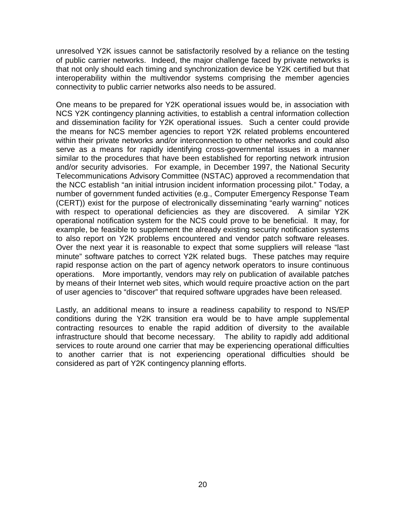unresolved Y2K issues cannot be satisfactorily resolved by a reliance on the testing of public carrier networks. Indeed, the major challenge faced by private networks is that not only should each timing and synchronization device be Y2K certified but that interoperability within the multivendor systems comprising the member agencies connectivity to public carrier networks also needs to be assured.

One means to be prepared for Y2K operational issues would be, in association with NCS Y2K contingency planning activities, to establish a central information collection and dissemination facility for Y2K operational issues. Such a center could provide the means for NCS member agencies to report Y2K related problems encountered within their private networks and/or interconnection to other networks and could also serve as a means for rapidly identifying cross-governmental issues in a manner similar to the procedures that have been established for reporting network intrusion and/or security advisories. For example, in December 1997, the National Security Telecommunications Advisory Committee (NSTAC) approved a recommendation that the NCC establish "an initial intrusion incident information processing pilot." Today, a number of government funded activities (e.g., Computer Emergency Response Team (CERT)) exist for the purpose of electronically disseminating "early warning" notices with respect to operational deficiencies as they are discovered. A similar Y2K operational notification system for the NCS could prove to be beneficial. It may, for example, be feasible to supplement the already existing security notification systems to also report on Y2K problems encountered and vendor patch software releases. Over the next year it is reasonable to expect that some suppliers will release "last minute" software patches to correct Y2K related bugs. These patches may require rapid response action on the part of agency network operators to insure continuous operations. More importantly, vendors may rely on publication of available patches by means of their Internet web sites, which would require proactive action on the part of user agencies to "discover" that required software upgrades have been released.

Lastly, an additional means to insure a readiness capability to respond to NS/EP conditions during the Y2K transition era would be to have ample supplemental contracting resources to enable the rapid addition of diversity to the available infrastructure should that become necessary. The ability to rapidly add additional services to route around one carrier that may be experiencing operational difficulties to another carrier that is not experiencing operational difficulties should be considered as part of Y2K contingency planning efforts.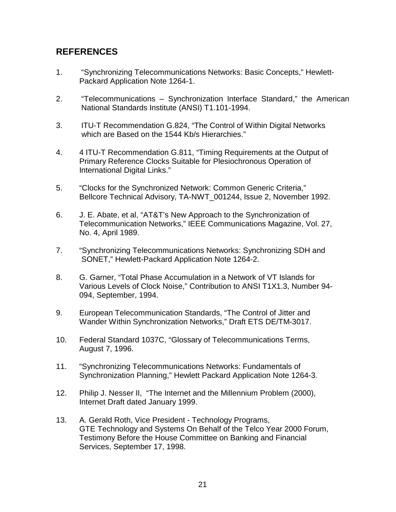# **REFERENCES**

- 1. "Synchronizing Telecommunications Networks: Basic Concepts," Hewlett-Packard Application Note 1264-1.
- 2. "Telecommunications Synchronization Interface Standard," the American National Standards Institute (ANSI) T1.101-1994.
- 3. ITU-T Recommendation G.824, "The Control of Within Digital Networks which are Based on the 1544 Kb/s Hierarchies."
- 4. 4 ITU-T Recommendation G.811, "Timing Requirements at the Output of Primary Reference Clocks Suitable for Plesiochronous Operation of International Digital Links."
- 5. "Clocks for the Synchronized Network: Common Generic Criteria," Bellcore Technical Advisory, TA-NWT\_001244, Issue 2, November 1992.
- 6. J. E. Abate, et al, "AT&T's New Approach to the Synchronization of Telecommunication Networks," IEEE Communications Magazine, Vol. 27, No. 4, April 1989.
- 7. "Synchronizing Telecommunications Networks: Synchronizing SDH and SONET," Hewlett-Packard Application Note 1264-2.
- 8. G. Garner, "Total Phase Accumulation in a Network of VT Islands for Various Levels of Clock Noise," Contribution to ANSI T1X1.3, Number 94- 094, September, 1994.
- 9. European Telecommunication Standards, "The Control of Jitter and Wander Within Synchronization Networks," Draft ETS DE/TM-3017.
- 10. Federal Standard 1037C, "Glossary of Telecommunications Terms, August 7, 1996.
- 11. "Synchronizing Telecommunications Networks: Fundamentals of Synchronization Planning," Hewlett Packard Application Note 1264-3.
- 12. Philip J. Nesser II, "The Internet and the Millennium Problem (2000), Internet Draft dated January 1999.
- 13. A. Gerald Roth, Vice President Technology Programs, GTE Technology and Systems On Behalf of the Telco Year 2000 Forum, Testimony Before the House Committee on Banking and Financial Services, September 17, 1998.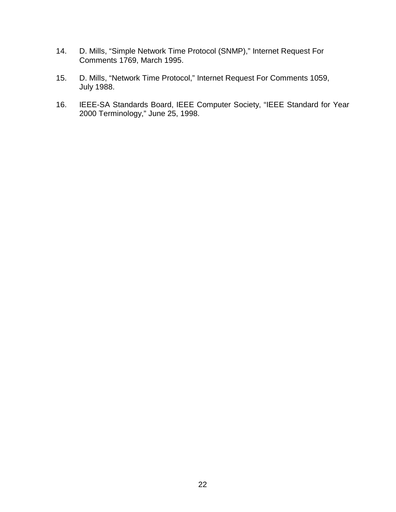- 14. D. Mills, "Simple Network Time Protocol (SNMP)," Internet Request For Comments 1769, March 1995.
- 15. D. Mills, "Network Time Protocol," Internet Request For Comments 1059, July 1988.
- 16. IEEE-SA Standards Board, IEEE Computer Society, "IEEE Standard for Year 2000 Terminology," June 25, 1998.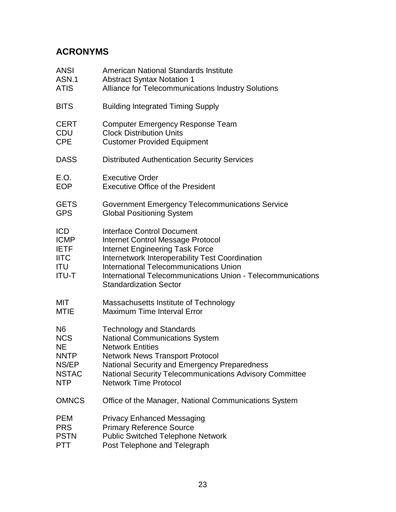# **ACRONYMS**

| ANSI                                                                           | American National Standards Institute                                                                                                                                                                                                                                                                                       |
|--------------------------------------------------------------------------------|-----------------------------------------------------------------------------------------------------------------------------------------------------------------------------------------------------------------------------------------------------------------------------------------------------------------------------|
| ASN.1                                                                          | <b>Abstract Syntax Notation 1</b>                                                                                                                                                                                                                                                                                           |
| ATIS                                                                           | <b>Alliance for Telecommunications Industry Solutions</b>                                                                                                                                                                                                                                                                   |
| <b>BITS</b>                                                                    | <b>Building Integrated Timing Supply</b>                                                                                                                                                                                                                                                                                    |
| CERT                                                                           | <b>Computer Emergency Response Team</b>                                                                                                                                                                                                                                                                                     |
| CDU                                                                            | <b>Clock Distribution Units</b>                                                                                                                                                                                                                                                                                             |
| <b>CPE</b>                                                                     | <b>Customer Provided Equipment</b>                                                                                                                                                                                                                                                                                          |
| <b>DASS</b>                                                                    | <b>Distributed Authentication Security Services</b>                                                                                                                                                                                                                                                                         |
| E.O.                                                                           | <b>Executive Order</b>                                                                                                                                                                                                                                                                                                      |
| <b>EOP</b>                                                                     | <b>Executive Office of the President</b>                                                                                                                                                                                                                                                                                    |
| <b>GETS</b>                                                                    | <b>Government Emergency Telecommunications Service</b>                                                                                                                                                                                                                                                                      |
| <b>GPS</b>                                                                     | <b>Global Positioning System</b>                                                                                                                                                                                                                                                                                            |
| <b>ICD</b><br><b>ICMP</b><br><b>IETF</b><br><b>IITC</b><br>ITU<br><b>ITU-T</b> | <b>Interface Control Document</b><br><b>Internet Control Message Protocol</b><br><b>Internet Engineering Task Force</b><br>Internetwork Interoperability Test Coordination<br><b>International Telecommunications Union</b><br>International Telecommunications Union - Telecommunications<br><b>Standardization Sector</b> |
| MIT                                                                            | Massachusetts Institute of Technology                                                                                                                                                                                                                                                                                       |
| MTIE                                                                           | <b>Maximum Time Interval Error</b>                                                                                                                                                                                                                                                                                          |
| N6                                                                             | <b>Technology and Standards</b>                                                                                                                                                                                                                                                                                             |
| <b>NCS</b>                                                                     | <b>National Communications System</b>                                                                                                                                                                                                                                                                                       |
| NΕ                                                                             | <b>Network Entities</b>                                                                                                                                                                                                                                                                                                     |
| <b>NNTP</b>                                                                    | <b>Network News Transport Protocol</b>                                                                                                                                                                                                                                                                                      |
| NS/EP                                                                          | <b>National Security and Emergency Preparedness</b>                                                                                                                                                                                                                                                                         |
| <b>NSTAC</b>                                                                   | National Security Telecommunications Advisory Committee                                                                                                                                                                                                                                                                     |
| NTP                                                                            | <b>Network Time Protocol</b>                                                                                                                                                                                                                                                                                                |
| <b>OMNCS</b>                                                                   | Office of the Manager, National Communications System                                                                                                                                                                                                                                                                       |
| PEM                                                                            | <b>Privacy Enhanced Messaging</b>                                                                                                                                                                                                                                                                                           |
| <b>PRS</b>                                                                     | <b>Primary Reference Source</b>                                                                                                                                                                                                                                                                                             |
| <b>PSTN</b>                                                                    | <b>Public Switched Telephone Network</b>                                                                                                                                                                                                                                                                                    |
| PTT                                                                            | Post Telephone and Telegraph                                                                                                                                                                                                                                                                                                |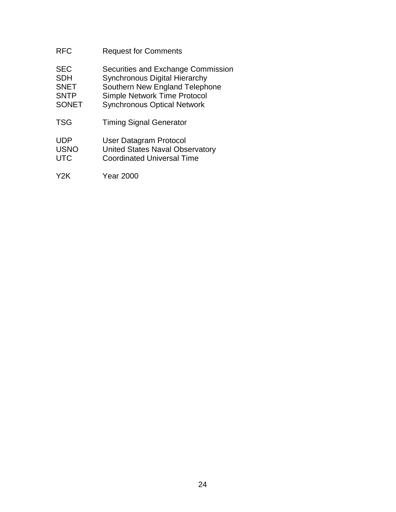| <b>RFC</b>                                                             | <b>Request for Comments</b>                                                                                                                                                               |
|------------------------------------------------------------------------|-------------------------------------------------------------------------------------------------------------------------------------------------------------------------------------------|
| <b>SEC</b><br><b>SDH</b><br><b>SNET</b><br><b>SNTP</b><br><b>SONET</b> | Securities and Exchange Commission<br><b>Synchronous Digital Hierarchy</b><br>Southern New England Telephone<br><b>Simple Network Time Protocol</b><br><b>Synchronous Optical Network</b> |
| <b>TSG</b>                                                             | <b>Timing Signal Generator</b>                                                                                                                                                            |
| <b>UDP</b><br><b>USNO</b><br><b>UTC</b>                                | User Datagram Protocol<br><b>United States Naval Observatory</b><br><b>Coordinated Universal Time</b>                                                                                     |
| Y2K                                                                    | Year 2000                                                                                                                                                                                 |